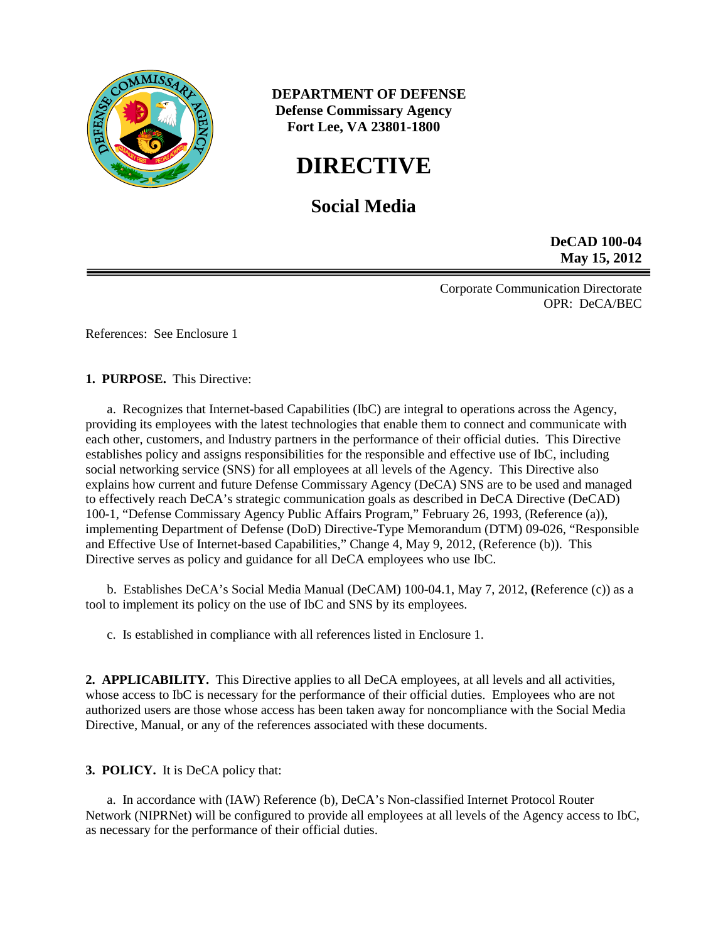

 **DEPARTMENT OF DEFENSE Defense Commissary Agency Fort Lee, VA 23801-1800**

# **DIRECTIVE**

## **Social Media**

**DeCAD 100-04 May 15, 2012**

Corporate Communication Directorate OPR: DeCA/BEC

References: See Enclosure 1

**1. PURPOSE.** This Directive:

a. Recognizes that Internet-based Capabilities (IbC) are integral to operations across the Agency, providing its employees with the latest technologies that enable them to connect and communicate with each other, customers, and Industry partners in the performance of their official duties. This Directive establishes policy and assigns responsibilities for the responsible and effective use of IbC, including social networking service (SNS) for all employees at all levels of the Agency. This Directive also explains how current and future Defense Commissary Agency (DeCA) SNS are to be used and managed to effectively reach DeCA's strategic communication goals as described in DeCA Directive (DeCAD) 100-1, "Defense Commissary Agency Public Affairs Program," February 26, 1993, (Reference (a)), implementing Department of Defense (DoD) Directive-Type Memorandum (DTM) 09-026, "Responsible and Effective Use of Internet-based Capabilities," Change 4, May 9, 2012, (Reference (b)). This Directive serves as policy and guidance for all DeCA employees who use IbC.

b. Establishes DeCA's Social Media Manual (DeCAM) 100-04.1, May 7, 2012, **(**Reference (c)) as a tool to implement its policy on the use of IbC and SNS by its employees.

c. Is established in compliance with all references listed in Enclosure 1.

**2. APPLICABILITY.** This Directive applies to all DeCA employees, at all levels and all activities, whose access to IbC is necessary for the performance of their official duties. Employees who are not authorized users are those whose access has been taken away for noncompliance with the Social Media Directive, Manual, or any of the references associated with these documents.

**3. POLICY.** It is DeCA policy that:

a. In accordance with (IAW) Reference (b), DeCA's Non-classified Internet Protocol Router Network (NIPRNet) will be configured to provide all employees at all levels of the Agency access to IbC, as necessary for the performance of their official duties.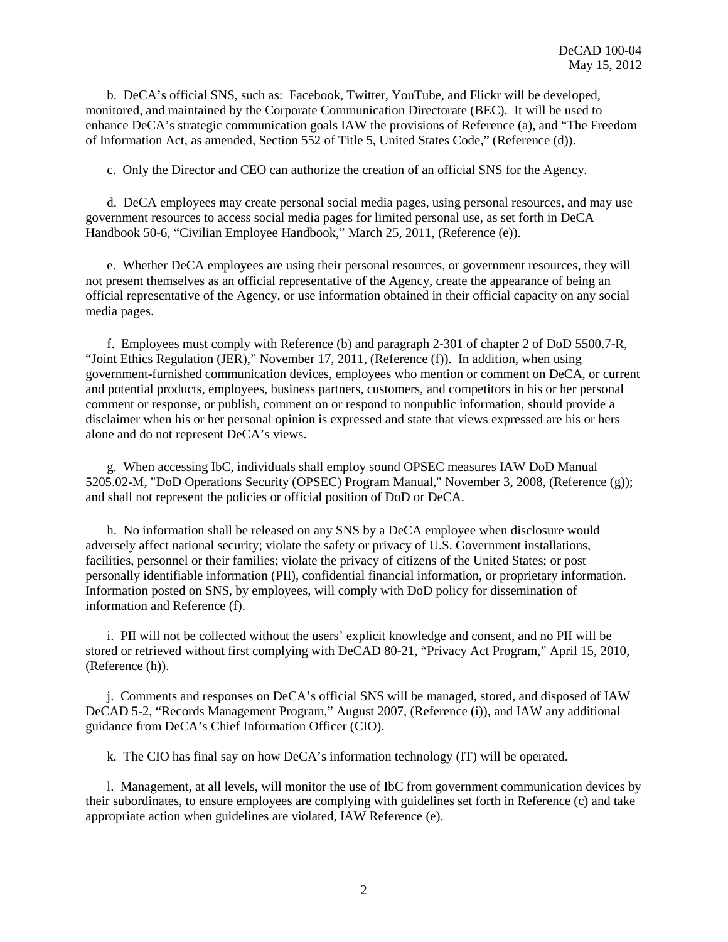b. DeCA's official SNS, such as: Facebook, Twitter, YouTube, and Flickr will be developed, monitored, and maintained by the Corporate Communication Directorate (BEC). It will be used to enhance DeCA's strategic communication goals IAW the provisions of Reference (a), and "The Freedom of Information Act, as amended, Section 552 of Title 5, United States Code," (Reference (d)).

c. Only the Director and CEO can authorize the creation of an official SNS for the Agency.

d. DeCA employees may create personal social media pages, using personal resources, and may use government resources to access social media pages for limited personal use, as set forth in DeCA Handbook 50-6, "Civilian Employee Handbook," March 25, 2011, (Reference (e)).

e. Whether DeCA employees are using their personal resources, or government resources, they will not present themselves as an official representative of the Agency, create the appearance of being an official representative of the Agency, or use information obtained in their official capacity on any social media pages.

f. Employees must comply with Reference (b) and paragraph 2-301 of chapter 2 of DoD 5500.7-R, "Joint Ethics Regulation (JER)," November 17, 2011, (Reference (f)). In addition, when using government-furnished communication devices, employees who mention or comment on DeCA, or current and potential products, employees, business partners, customers, and competitors in his or her personal comment or response, or publish, comment on or respond to nonpublic information, should provide a disclaimer when his or her personal opinion is expressed and state that views expressed are his or hers alone and do not represent DeCA's views.

g. When accessing IbC, individuals shall employ sound OPSEC measures IAW DoD Manual 5205.02-M, "DoD Operations Security (OPSEC) Program Manual," November 3, 2008, (Reference (g)); and shall not represent the policies or official position of DoD or DeCA.

h. No information shall be released on any SNS by a DeCA employee when disclosure would adversely affect national security; violate the safety or privacy of U.S. Government installations, facilities, personnel or their families; violate the privacy of citizens of the United States; or post personally identifiable information (PII), confidential financial information, or proprietary information. Information posted on SNS, by employees, will comply with DoD policy for dissemination of information and Reference (f).

i. PII will not be collected without the users' explicit knowledge and consent, and no PII will be stored or retrieved without first complying with DeCAD 80-21, "Privacy Act Program," April 15, 2010, (Reference (h)).

j. Comments and responses on DeCA's official SNS will be managed, stored, and disposed of IAW DeCAD 5-2, "Records Management Program," August 2007, (Reference (i)), and IAW any additional guidance from DeCA's Chief Information Officer (CIO).

k. The CIO has final say on how DeCA's information technology (IT) will be operated.

l. Management, at all levels, will monitor the use of IbC from government communication devices by their subordinates, to ensure employees are complying with guidelines set forth in Reference (c) and take appropriate action when guidelines are violated, IAW Reference (e).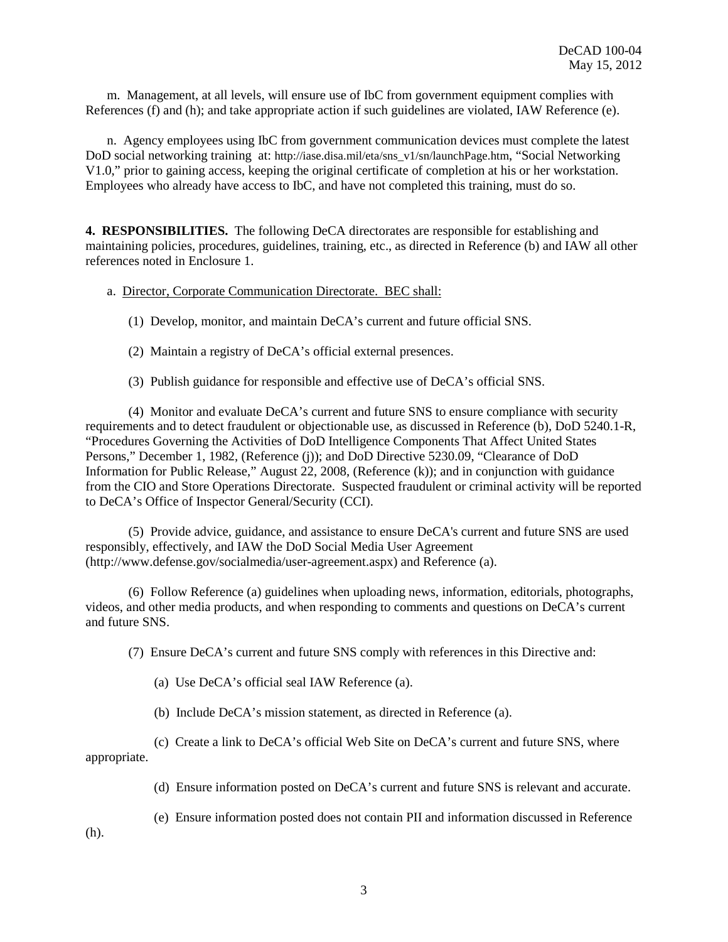m. Management, at all levels, will ensure use of IbC from government equipment complies with References (f) and (h); and take appropriate action if such guidelines are violated, IAW Reference (e).

n. Agency employees using IbC from government communication devices must complete the latest DoD social networking training at: [http://iase.disa.mil/eta/sns\\_v1/sn/launchPage.htm,](http://iase.disa.mil/eta/sns_v1/sn/launchPage.htm) "Social Networking V1.0," prior to gaining access, keeping the original certificate of completion at his or her workstation. Employees who already have access to IbC, and have not completed this training, must do so.

**4. RESPONSIBILITIES.** The following DeCA directorates are responsible for establishing and maintaining policies, procedures, guidelines, training, etc., as directed in Reference (b) and IAW all other references noted in Enclosure 1.

#### a. Director, Corporate Communication Directorate. BEC shall:

(1) Develop, monitor, and maintain DeCA's current and future official SNS.

(2) Maintain a registry of DeCA's official external presences.

(3) Publish guidance for responsible and effective use of DeCA's official SNS.

(4) Monitor and evaluate DeCA's current and future SNS to ensure compliance with security requirements and to detect fraudulent or objectionable use, as discussed in Reference (b), DoD 5240.1-R, "Procedures Governing the Activities of DoD Intelligence Components That Affect United States Persons," December 1, 1982, (Reference (j)); and DoD Directive 5230.09, "Clearance of DoD Information for Public Release," August 22, 2008, (Reference (k)); and in conjunction with guidance from the CIO and Store Operations Directorate. Suspected fraudulent or criminal activity will be reported to DeCA's Office of Inspector General/Security (CCI).

(5) Provide advice, guidance, and assistance to ensure DeCA's current and future SNS are used responsibly, effectively, and IAW the DoD Social Media User Agreement (http://www.defense.gov/socialmedia/user-agreement.aspx) and Reference (a).

(6) Follow Reference (a) guidelines when uploading news, information, editorials, photographs, videos, and other media products, and when responding to comments and questions on DeCA's current and future SNS.

(7) Ensure DeCA's current and future SNS comply with references in this Directive and:

(a) Use DeCA's official seal IAW Reference (a).

(b) Include DeCA's mission statement, as directed in Reference (a).

(c) Create a link to DeCA's official Web Site on DeCA's current and future SNS, where appropriate.

(d) Ensure information posted on DeCA's current and future SNS is relevant and accurate.

(e) Ensure information posted does not contain PII and information discussed in Reference

(h).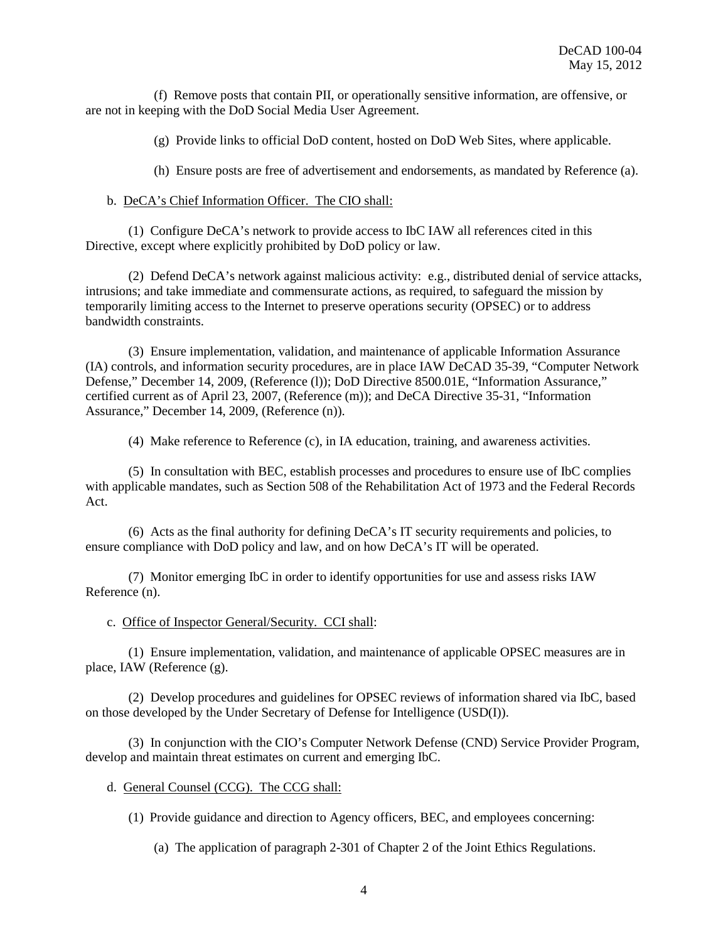(f) Remove posts that contain PII, or operationally sensitive information, are offensive, or are not in keeping with the DoD Social Media User Agreement.

(g) Provide links to official DoD content, hosted on DoD Web Sites, where applicable.

(h) Ensure posts are free of advertisement and endorsements, as mandated by Reference (a).

#### b. DeCA's Chief Information Officer. The CIO shall:

(1) Configure DeCA's network to provide access to IbC IAW all references cited in this Directive, except where explicitly prohibited by DoD policy or law.

(2) Defend DeCA's network against malicious activity: e.g., distributed denial of service attacks, intrusions; and take immediate and commensurate actions, as required, to safeguard the mission by temporarily limiting access to the Internet to preserve operations security (OPSEC) or to address bandwidth constraints.

(3) Ensure implementation, validation, and maintenance of applicable Information Assurance (IA) controls, and information security procedures, are in place IAW DeCAD 35-39, "Computer Network Defense," December 14, 2009, (Reference (l)); DoD Directive 8500.01E, "Information Assurance," certified current as of April 23, 2007, (Reference (m)); and DeCA Directive 35-31, "Information Assurance," December 14, 2009, (Reference (n)).

(4) Make reference to Reference (c), in IA education, training, and awareness activities.

(5) In consultation with BEC, establish processes and procedures to ensure use of IbC complies with applicable mandates, such as Section 508 of the Rehabilitation Act of 1973 and the Federal Records Act.

(6) Acts as the final authority for defining DeCA's IT security requirements and policies, to ensure compliance with DoD policy and law, and on how DeCA's IT will be operated.

(7) Monitor emerging IbC in order to identify opportunities for use and assess risks IAW Reference (n).

#### c. Office of Inspector General/Security. CCI shall:

(1) Ensure implementation, validation, and maintenance of applicable OPSEC measures are in place, IAW (Reference (g).

(2) Develop procedures and guidelines for OPSEC reviews of information shared via IbC, based on those developed by the Under Secretary of Defense for Intelligence (USD(I)).

(3) In conjunction with the CIO's Computer Network Defense (CND) Service Provider Program, develop and maintain threat estimates on current and emerging IbC.

#### d. General Counsel (CCG). The CCG shall:

(1) Provide guidance and direction to Agency officers, BEC, and employees concerning:

(a) The application of paragraph 2-301 of Chapter 2 of the Joint Ethics Regulations.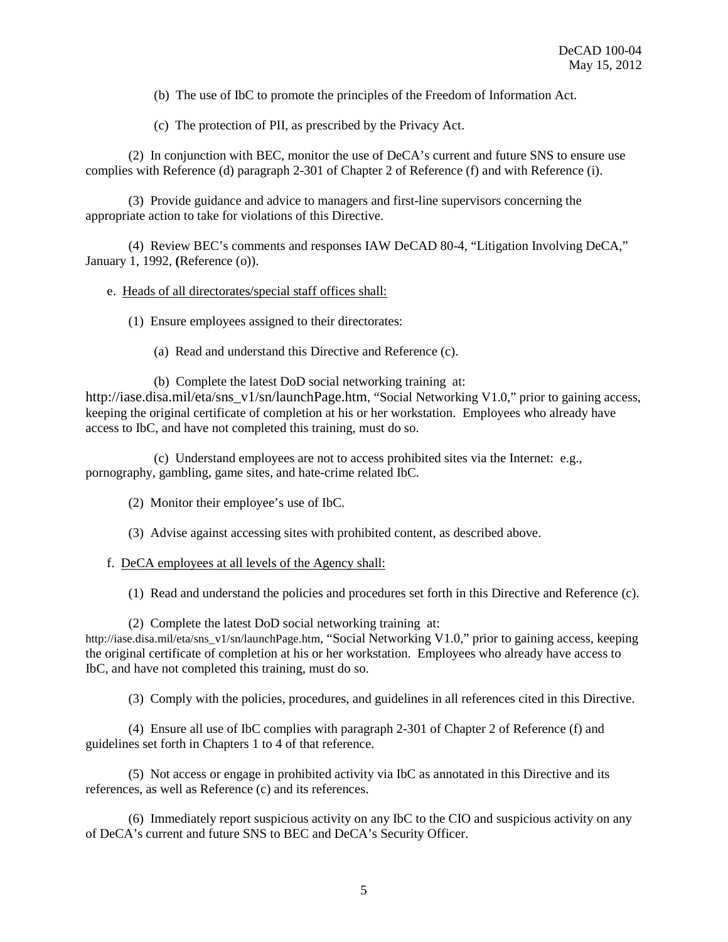(b) The use of IbC to promote the principles of the Freedom of Information Act.

(c) The protection of PII, as prescribed by the Privacy Act.

(2) In conjunction with BEC, monitor the use of DeCA's current and future SNS to ensure use complies with Reference (d) paragraph 2-301 of Chapter 2 of Reference (f) and with Reference (i).

(3) Provide guidance and advice to managers and first-line supervisors concerning the appropriate action to take for violations of this Directive.

(4) Review BEC's comments and responses IAW DeCAD 80-4, "Litigation Involving DeCA," January 1, 1992, **(**Reference (o)).

#### e. Heads of all directorates/special staff offices shall:

(1) Ensure employees assigned to their directorates:

(a) Read and understand this Directive and Reference (c).

(b) Complete the latest DoD social networking training at: [http://iase.disa.mil/eta/sns\\_v1/sn/launchPage.htm,](http://iase.disa.mil/eta/sns_v1/sn/launchPage.htm) "Social Networking V1.0," prior to gaining access, keeping the original certificate of completion at his or her workstation. Employees who already have access to IbC, and have not completed this training, must do so.

(c) Understand employees are not to access prohibited sites via the Internet: e.g., pornography, gambling, game sites, and hate-crime related IbC.

(2) Monitor their employee's use of IbC.

(3) Advise against accessing sites with prohibited content, as described above.

#### f. DeCA employees at all levels of the Agency shall:

(1) Read and understand the policies and procedures set forth in this Directive and Reference (c).

(2) Complete the latest DoD social networking training at:

[http://iase.disa.mil/eta/sns\\_v1/sn/launchPage.htm,](http://iase.disa.mil/eta/sns_v1/sn/launchPage.htm) "Social Networking V1.0," prior to gaining access, keeping the original certificate of completion at his or her workstation. Employees who already have access to IbC, and have not completed this training, must do so.

(3) Comply with the policies, procedures, and guidelines in all references cited in this Directive.

(4) Ensure all use of IbC complies with paragraph 2-301 of Chapter 2 of Reference (f) and guidelines set forth in Chapters 1 to 4 of that reference.

(5) Not access or engage in prohibited activity via IbC as annotated in this Directive and its references, as well as Reference (c) and its references.

(6) Immediately report suspicious activity on any IbC to the CIO and suspicious activity on any of DeCA's current and future SNS to BEC and DeCA's Security Officer.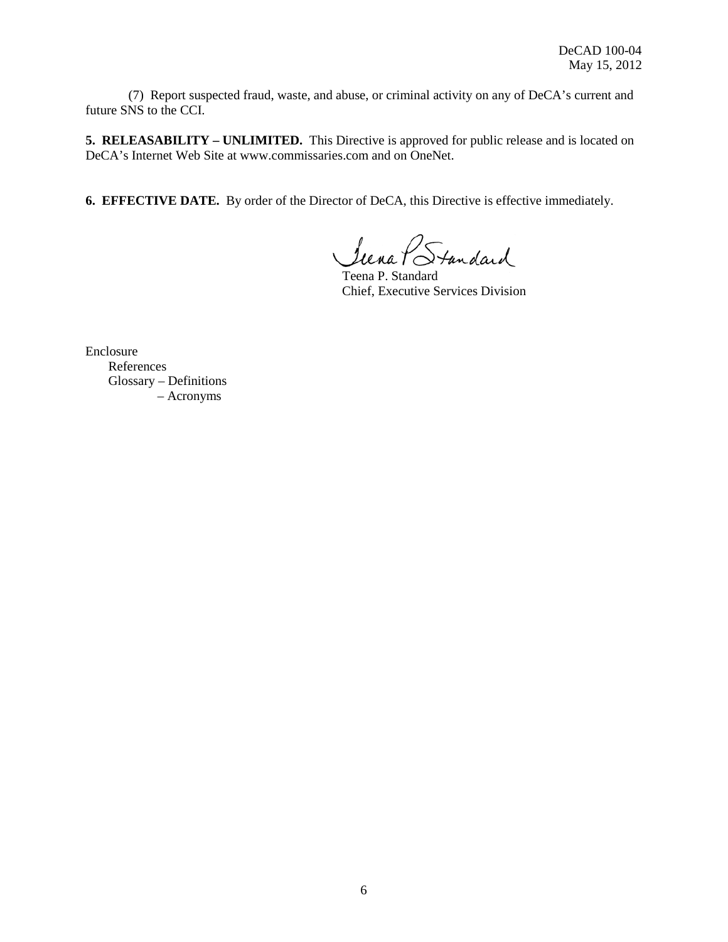(7) Report suspected fraud, waste, and abuse, or criminal activity on any of DeCA's current and future SNS to the CCI.

**5. RELEASABILITY – UNLIMITED.** This Directive is approved for public release and is located on DeCA's Internet Web Site at [www.commissaries.com](http://www.commissaries.com/) and on OneNet.

**6. EFFECTIVE DATE.** By order of the Director of DeCA, this Directive is effective immediately.

Siena PStandard

Teena P. Standard Chief, Executive Services Division

Enclosure References Glossary – Definitions – Acronyms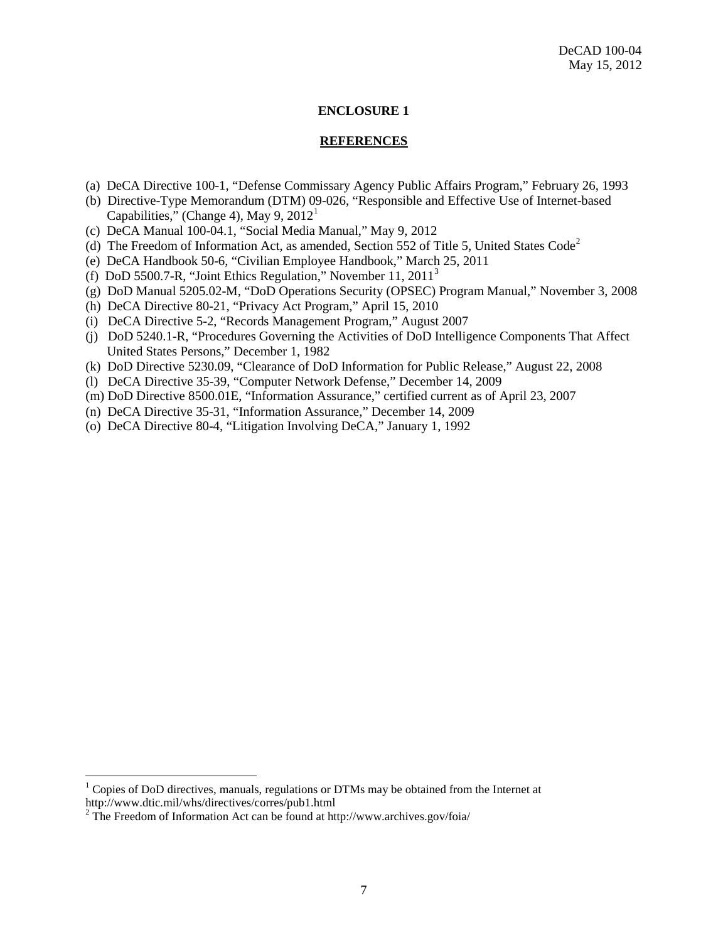#### **ENCLOSURE 1**

#### **REFERENCES**

- (a) DeCA Directive 100-1, "Defense Commissary Agency Public Affairs Program," February 26, 1993
- (b) Directive-Type Memorandum (DTM) 09-026, "Responsible and Effective Use of Internet-based Capabilities," (Change 4), May 9,  $2012<sup>1</sup>$  $2012<sup>1</sup>$  $2012<sup>1</sup>$
- (c) DeCA Manual 100-04.1, "Social Media Manual," May 9, 2012
- (d) The Freedom of Information Act, as amended, Section 55[2](#page-6-1) of Title 5, United States Code<sup>2</sup>
- (e) DeCA Handbook 50-6, "Civilian Employee Handbook," March 25, 2011
- (f) DoD 5500.7-R, "Joint Ethics Regulation," November 11, 2011[3](#page-6-2)
- (g) DoD Manual 5205.02-M, "DoD Operations Security (OPSEC) Program Manual," November 3, 2008
- (h) DeCA Directive 80-21, "Privacy Act Program," April 15, 2010
- (i) DeCA Directive 5-2, "Records Management Program," August 2007
- (j) DoD 5240.1-R, "Procedures Governing the Activities of DoD Intelligence Components That Affect United States Persons," December 1, 1982
- (k) DoD Directive 5230.09, "Clearance of DoD Information for Public Release," August 22, 2008
- (l) DeCA Directive 35-39, "Computer Network Defense," December 14, 2009
- (m) DoD Directive 8500.01E, "Information Assurance," certified current as of April 23, 2007
- (n) DeCA Directive 35-31, "Information Assurance," December 14, 2009
- (o) DeCA Directive 80-4, "Litigation Involving DeCA," January 1, 1992

<span id="page-6-0"></span><sup>&</sup>lt;sup>1</sup> Copies of DoD directives, manuals, regulations or DTMs may be obtained from the Internet at http://www.dtic.mil/whs/directives/corres/pub1.html

<span id="page-6-2"></span><span id="page-6-1"></span> $2$  The Freedom of Information Act can be found at http://www.archives.gov/foia/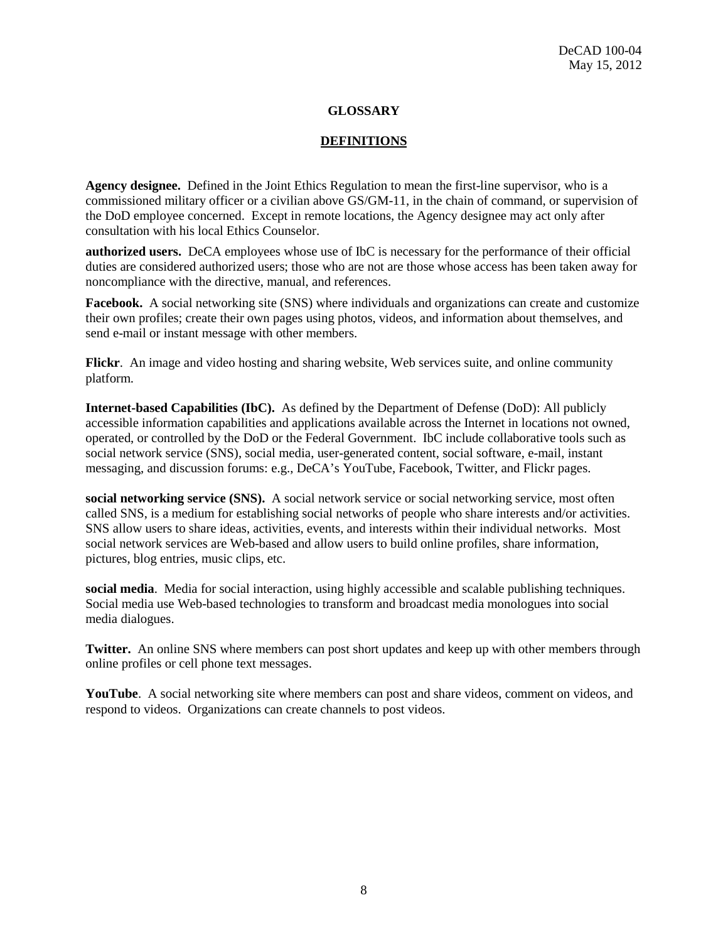#### **GLOSSARY**

#### **DEFINITIONS**

**Agency designee.** Defined in the Joint Ethics Regulation to mean the first-line supervisor, who is a commissioned military officer or a civilian above GS/GM-11, in the chain of command, or supervision of the DoD employee concerned. Except in remote locations, the Agency designee may act only after consultation with his local Ethics Counselor.

**authorized users.** DeCA employees whose use of IbC is necessary for the performance of their official duties are considered authorized users; those who are not are those whose access has been taken away for noncompliance with the directive, manual, and references.

**Facebook.** A social networking site (SNS) where individuals and organizations can create and customize their own profiles; create their own pages using photos, videos, and information about themselves, and send e-mail or instant message with other members.

**Flickr**. An image and video hosting and sharing website, Web services suite, and online community platform.

**Internet-based Capabilities (IbC).** As defined by the Department of Defense (DoD): All publicly accessible information capabilities and applications available across the Internet in locations not owned, operated, or controlled by the DoD or the Federal Government. IbC include collaborative tools such as social network service (SNS), social media, user-generated content, social software, e-mail, instant messaging, and discussion forums: e.g., DeCA's YouTube, Facebook, Twitter, and Flickr pages.

**social networking service (SNS).** A social network service or social networking service, most often called SNS, is a medium for establishing social networks of people who share interests and/or activities. SNS allow users to share ideas, activities, events, and interests within their individual networks. Most social network services are Web-based and allow users to build online profiles, share information, pictures, blog entries, music clips, etc.

**social media**. Media for social interaction, using highly accessible and scalable publishing techniques. Social media use Web-based technologies to transform and broadcast media monologues into social media dialogues.

**Twitter.** An online SNS where members can post short updates and keep up with other members through online profiles or cell phone text messages.

**YouTube**. A social networking site where members can post and share videos, comment on videos, and respond to videos. Organizations can create channels to post videos.